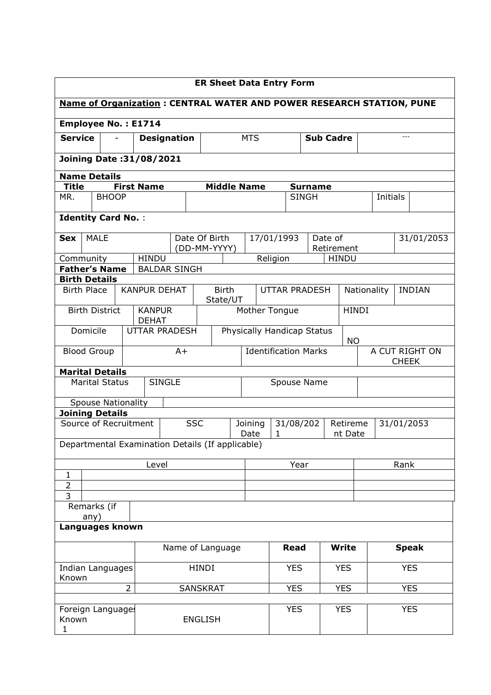| <b>ER Sheet Data Entry Form</b>                                           |                                      |                     |                                         |                 |                                                                             |                                                                                   |                                                      |                             |             |              |                                |      |              |
|---------------------------------------------------------------------------|--------------------------------------|---------------------|-----------------------------------------|-----------------|-----------------------------------------------------------------------------|-----------------------------------------------------------------------------------|------------------------------------------------------|-----------------------------|-------------|--------------|--------------------------------|------|--------------|
|                                                                           |                                      |                     |                                         |                 | <b>Name of Organization: CENTRAL WATER AND POWER RESEARCH STATION, PUNE</b> |                                                                                   |                                                      |                             |             |              |                                |      |              |
| <b>Employee No.: E1714</b>                                                |                                      |                     |                                         |                 |                                                                             |                                                                                   |                                                      |                             |             |              |                                |      |              |
|                                                                           | <b>Service</b><br><b>Designation</b> |                     |                                         | <b>MTS</b>      | <b>Sub Cadre</b>                                                            |                                                                                   |                                                      |                             |             |              |                                |      |              |
| <b>Joining Date: 31/08/2021</b>                                           |                                      |                     |                                         |                 |                                                                             |                                                                                   |                                                      |                             |             |              |                                |      |              |
| <b>Name Details</b>                                                       |                                      |                     |                                         |                 |                                                                             |                                                                                   |                                                      |                             |             |              |                                |      |              |
| <b>Middle Name</b><br><b>Title</b><br><b>First Name</b><br><b>Surname</b> |                                      |                     |                                         |                 |                                                                             |                                                                                   |                                                      |                             |             |              |                                |      |              |
| MR.                                                                       | <b>BHOOP</b>                         |                     |                                         |                 |                                                                             |                                                                                   |                                                      | <b>SINGH</b>                |             |              | Initials                       |      |              |
|                                                                           | <b>Identity Card No.:</b>            |                     |                                         |                 |                                                                             |                                                                                   |                                                      |                             |             |              |                                |      |              |
| <b>Sex</b>                                                                | <b>MALE</b>                          |                     |                                         |                 | Date Of Birth                                                               |                                                                                   | 17/01/1993                                           |                             | Date of     |              |                                |      | 31/01/2053   |
|                                                                           |                                      |                     |                                         |                 | (DD-MM-YYYY)                                                                |                                                                                   |                                                      |                             | Retirement  |              |                                |      |              |
| Community                                                                 |                                      | <b>HINDU</b>        |                                         |                 |                                                                             |                                                                                   | Religion                                             |                             |             | <b>HINDU</b> |                                |      |              |
|                                                                           | <b>Father's Name</b>                 |                     | <b>BALDAR SINGH</b>                     |                 |                                                                             |                                                                                   |                                                      |                             |             |              |                                |      |              |
| <b>Birth Details</b><br><b>Birth Place</b>                                |                                      | <b>KANPUR DEHAT</b> |                                         |                 | <b>Birth</b>                                                                |                                                                                   |                                                      |                             |             |              |                                |      |              |
|                                                                           |                                      |                     |                                         |                 | State/UT                                                                    |                                                                                   | Nationality<br><b>INDIAN</b><br><b>UTTAR PRADESH</b> |                             |             |              |                                |      |              |
| <b>Birth District</b><br><b>KANPUR</b><br><b>DEHAT</b>                    |                                      |                     |                                         |                 |                                                                             | <b>HINDI</b><br>Mother Tongue                                                     |                                                      |                             |             |              |                                |      |              |
| Domicile<br><b>UTTAR PRADESH</b>                                          |                                      |                     | Physically Handicap Status<br><b>NO</b> |                 |                                                                             |                                                                                   |                                                      |                             |             |              |                                |      |              |
| <b>Blood Group</b>                                                        |                                      |                     | $A+$                                    |                 |                                                                             |                                                                                   |                                                      | <b>Identification Marks</b> |             |              | A CUT RIGHT ON<br><b>CHEEK</b> |      |              |
|                                                                           | <b>Marital Details</b>               |                     |                                         |                 |                                                                             |                                                                                   |                                                      |                             |             |              |                                |      |              |
|                                                                           | <b>Marital Status</b>                |                     | <b>SINGLE</b>                           |                 |                                                                             |                                                                                   |                                                      |                             | Spouse Name |              |                                |      |              |
|                                                                           | <b>Spouse Nationality</b>            |                     |                                         |                 |                                                                             |                                                                                   |                                                      |                             |             |              |                                |      |              |
|                                                                           | <b>Joining Details</b>               |                     |                                         |                 |                                                                             |                                                                                   |                                                      |                             |             |              |                                |      |              |
|                                                                           | Source of Recruitment                |                     |                                         | <b>SSC</b>      |                                                                             | Joining<br>31/08/202<br>Retireme<br>31/01/2053<br>Date<br>$\mathbf{1}$<br>nt Date |                                                      |                             |             |              |                                |      |              |
|                                                                           |                                      |                     |                                         |                 | Departmental Examination Details (If applicable)                            |                                                                                   |                                                      |                             |             |              |                                |      |              |
|                                                                           |                                      |                     | Level                                   |                 |                                                                             |                                                                                   |                                                      | Year                        |             |              |                                | Rank |              |
| 1<br>$\overline{2}$                                                       |                                      |                     |                                         |                 |                                                                             |                                                                                   |                                                      |                             |             |              |                                |      |              |
| 3                                                                         |                                      |                     |                                         |                 |                                                                             |                                                                                   |                                                      |                             |             |              |                                |      |              |
|                                                                           | Remarks (if                          |                     |                                         |                 |                                                                             |                                                                                   |                                                      |                             |             |              |                                |      |              |
|                                                                           | any)                                 |                     |                                         |                 |                                                                             |                                                                                   |                                                      |                             |             |              |                                |      |              |
| Languages known                                                           |                                      |                     |                                         |                 |                                                                             |                                                                                   |                                                      |                             |             |              |                                |      |              |
|                                                                           |                                      |                     |                                         |                 | Name of Language                                                            |                                                                                   |                                                      | <b>Read</b>                 |             | <b>Write</b> |                                |      | <b>Speak</b> |
| <b>HINDI</b><br>Indian Languages<br>Known                                 |                                      |                     |                                         |                 |                                                                             | <b>YES</b>                                                                        |                                                      | <b>YES</b>                  |             |              | <b>YES</b>                     |      |              |
|                                                                           |                                      | $\overline{2}$      |                                         | <b>SANSKRAT</b> |                                                                             |                                                                                   |                                                      | <b>YES</b>                  |             | <b>YES</b>   |                                |      | <b>YES</b>   |
|                                                                           |                                      |                     |                                         |                 |                                                                             |                                                                                   |                                                      |                             |             |              |                                |      |              |
| Known<br>1                                                                | Foreign Languages                    |                     |                                         | <b>ENGLISH</b>  |                                                                             |                                                                                   |                                                      | <b>YES</b>                  |             | <b>YES</b>   |                                |      | <b>YES</b>   |
|                                                                           |                                      |                     |                                         |                 |                                                                             |                                                                                   |                                                      |                             |             |              |                                |      |              |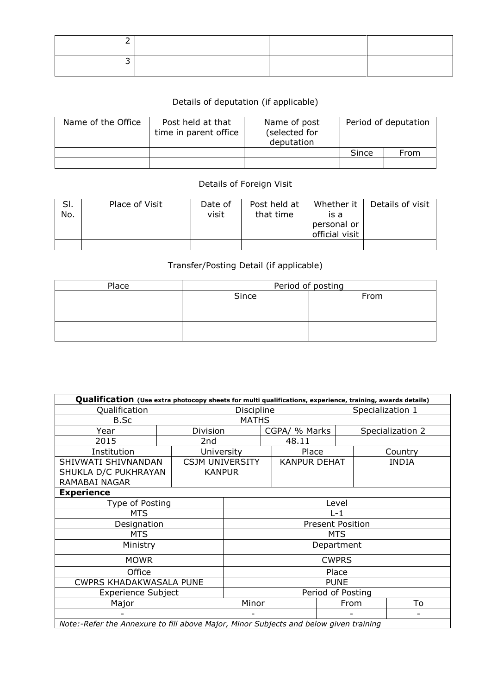## Details of deputation (if applicable)

| Name of the Office | Post held at that<br>time in parent office | Name of post<br>(selected for<br>deputation | Period of deputation |      |  |
|--------------------|--------------------------------------------|---------------------------------------------|----------------------|------|--|
|                    |                                            |                                             | Since                | From |  |
|                    |                                            |                                             |                      |      |  |

## Details of Foreign Visit

| SI.<br>No. | Place of Visit | Date of<br>visit | Post held at<br>that time | Whether it  <br>is a<br>personal or<br>official visit | Details of visit |
|------------|----------------|------------------|---------------------------|-------------------------------------------------------|------------------|
|            |                |                  |                           |                                                       |                  |

## Transfer/Posting Detail (if applicable)

| Place | Period of posting |      |  |  |  |  |
|-------|-------------------|------|--|--|--|--|
|       | Since             | From |  |  |  |  |
|       |                   |      |  |  |  |  |
|       |                   |      |  |  |  |  |
|       |                   |      |  |  |  |  |
|       |                   |      |  |  |  |  |

| Qualification (Use extra photocopy sheets for multi qualifications, experience, training, awards details) |                   |                         |                        |  |                     |      |                  |                          |  |  |
|-----------------------------------------------------------------------------------------------------------|-------------------|-------------------------|------------------------|--|---------------------|------|------------------|--------------------------|--|--|
| Qualification                                                                                             |                   |                         | Discipline             |  |                     |      | Specialization 1 |                          |  |  |
| B.Sc                                                                                                      | <b>MATHS</b>      |                         |                        |  |                     |      |                  |                          |  |  |
| Year                                                                                                      |                   | Division                |                        |  | CGPA/ % Marks       |      |                  | Specialization 2         |  |  |
| 2015                                                                                                      |                   | 2nd                     |                        |  | 48.11               |      |                  |                          |  |  |
| Institution                                                                                               |                   | University              |                        |  | Place               |      |                  | Country                  |  |  |
| SHIVWATI SHIVNANDAN                                                                                       |                   |                         | <b>CSJM UNIVERSITY</b> |  | <b>KANPUR DEHAT</b> |      |                  | <b>INDIA</b>             |  |  |
| SHUKLA D/C PUKHRAYAN                                                                                      |                   | <b>KANPUR</b>           |                        |  |                     |      |                  |                          |  |  |
| RAMABAI NAGAR                                                                                             |                   |                         |                        |  |                     |      |                  |                          |  |  |
| <b>Experience</b>                                                                                         |                   |                         |                        |  |                     |      |                  |                          |  |  |
| Type of Posting                                                                                           | Level             |                         |                        |  |                     |      |                  |                          |  |  |
| <b>MTS</b>                                                                                                |                   | $L - 1$                 |                        |  |                     |      |                  |                          |  |  |
| Designation                                                                                               |                   | <b>Present Position</b> |                        |  |                     |      |                  |                          |  |  |
| <b>MTS</b>                                                                                                |                   |                         | <b>MTS</b>             |  |                     |      |                  |                          |  |  |
| Ministry                                                                                                  |                   |                         | Department             |  |                     |      |                  |                          |  |  |
| <b>MOWR</b>                                                                                               |                   |                         | <b>CWPRS</b>           |  |                     |      |                  |                          |  |  |
| Office                                                                                                    |                   |                         | Place                  |  |                     |      |                  |                          |  |  |
| CWPRS KHADAKWASALA PUNE                                                                                   | <b>PUNE</b>       |                         |                        |  |                     |      |                  |                          |  |  |
| <b>Experience Subject</b>                                                                                 | Period of Posting |                         |                        |  |                     |      |                  |                          |  |  |
| Major                                                                                                     |                   |                         | Minor                  |  |                     | From |                  | To                       |  |  |
|                                                                                                           |                   |                         | -                      |  |                     |      |                  | $\overline{\phantom{a}}$ |  |  |
| Note:-Refer the Annexure to fill above Major, Minor Subjects and below given training                     |                   |                         |                        |  |                     |      |                  |                          |  |  |